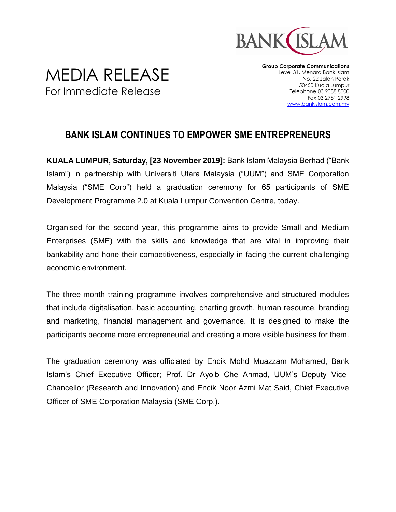

## MEDIA RELEASE For Immediate Release

**Group Corporate Communications** Level 31, Menara Bank Islam No. 22 Jalan Perak 50450 Kuala Lumpur Telephone 03 2088 8000 Fax 03 2781 2998 [www.bankislam.com.my](http://www.bankislam.com.my/)

## **BANK ISLAM CONTINUES TO EMPOWER SME ENTREPRENEURS**

**KUALA LUMPUR, Saturday, [23 November 2019]:** Bank Islam Malaysia Berhad ("Bank Islam") in partnership with Universiti Utara Malaysia ("UUM") and SME Corporation Malaysia ("SME Corp") held a graduation ceremony for 65 participants of SME Development Programme 2.0 at Kuala Lumpur Convention Centre, today.

Organised for the second year, this programme aims to provide Small and Medium Enterprises (SME) with the skills and knowledge that are vital in improving their bankability and hone their competitiveness, especially in facing the current challenging economic environment.

The three-month training programme involves comprehensive and structured modules that include digitalisation, basic accounting, charting growth, human resource, branding and marketing, financial management and governance. It is designed to make the participants become more entrepreneurial and creating a more visible business for them.

The graduation ceremony was officiated by Encik Mohd Muazzam Mohamed, Bank Islam's Chief Executive Officer; Prof. Dr Ayoib Che Ahmad, UUM's Deputy Vice-Chancellor (Research and Innovation) and Encik Noor Azmi Mat Said, Chief Executive Officer of SME Corporation Malaysia (SME Corp.).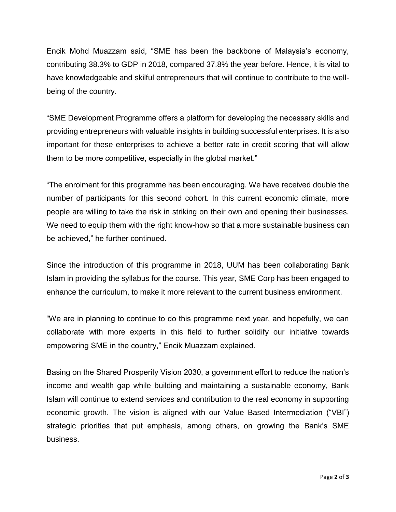Encik Mohd Muazzam said, "SME has been the backbone of Malaysia's economy, contributing 38.3% to GDP in 2018, compared 37.8% the year before. Hence, it is vital to have knowledgeable and skilful entrepreneurs that will continue to contribute to the wellbeing of the country.

"SME Development Programme offers a platform for developing the necessary skills and providing entrepreneurs with valuable insights in building successful enterprises. It is also important for these enterprises to achieve a better rate in credit scoring that will allow them to be more competitive, especially in the global market."

"The enrolment for this programme has been encouraging. We have received double the number of participants for this second cohort. In this current economic climate, more people are willing to take the risk in striking on their own and opening their businesses. We need to equip them with the right know-how so that a more sustainable business can be achieved," he further continued.

Since the introduction of this programme in 2018, UUM has been collaborating Bank Islam in providing the syllabus for the course. This year, SME Corp has been engaged to enhance the curriculum, to make it more relevant to the current business environment.

"We are in planning to continue to do this programme next year, and hopefully, we can collaborate with more experts in this field to further solidify our initiative towards empowering SME in the country," Encik Muazzam explained.

Basing on the Shared Prosperity Vision 2030, a government effort to reduce the nation's income and wealth gap while building and maintaining a sustainable economy, Bank Islam will continue to extend services and contribution to the real economy in supporting economic growth. The vision is aligned with our Value Based Intermediation ("VBI") strategic priorities that put emphasis, among others, on growing the Bank's SME business.